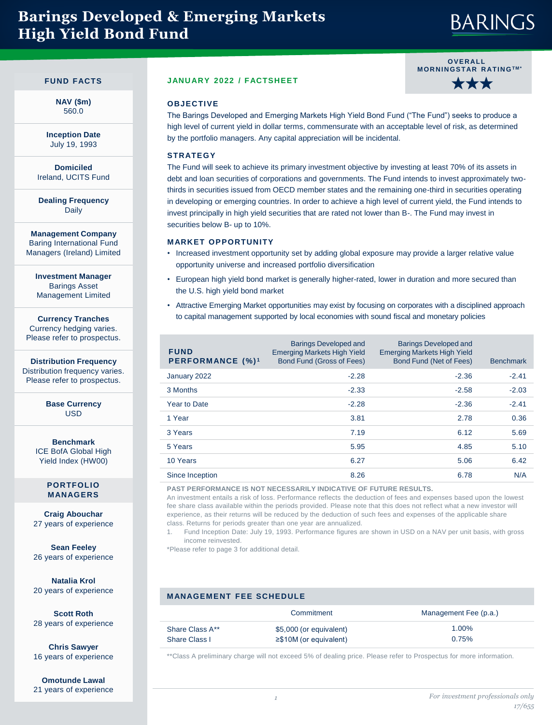### **Barings Developed & Emerging Markets High Yield Bond Fund**

### **BARINGS**

#### **FUND FACTS**

**NAV (\$m)** 560.0

**Inception Date** July 19, 1993

**Domiciled** Ireland, UCITS Fund

**Dealing Frequency** Daily

**Management Company** Baring International Fund Managers (Ireland) Limited

**Investment Manager** Barings Asset Management Limited

**Currency Tranches** Currency hedging varies. Please refer to prospectus.

**Distribution Frequency** Distribution frequency varies. Please refer to prospectus.

> **Base Currency** USD

**Benchmark** ICE BofA Global High Yield Index (HW00)

#### **PORTFOLIO MANAGERS**

**Craig Abouchar**  27 years of experience

**Sean Feeley**  26 years of experience

**Natalia Krol**  20 years of experience

**Scott Roth**  28 years of experience

**Chris Sawyer**  16 years of experience

**Omotunde Lawal**  21 years of experience

#### **JANUARY 2022 / FACTSHEET**



#### **OBJECTIVE**

The Barings Developed and Emerging Markets High Yield Bond Fund ("The Fund") seeks to produce a high level of current yield in dollar terms, commensurate with an acceptable level of risk, as determined by the portfolio managers. Any capital appreciation will be incidental.

#### **STRATEGY**

The Fund will seek to achieve its primary investment objective by investing at least 70% of its assets in debt and loan securities of corporations and governments. The Fund intends to invest approximately twothirds in securities issued from OECD member states and the remaining one-third in securities operating in developing or emerging countries. In order to achieve a high level of current yield, the Fund intends to invest principally in high yield securities that are rated not lower than B-. The Fund may invest in securities below B- up to 10%.

#### **MARKET OPPORTUNITY**

- Increased investment opportunity set by adding global exposure may provide a larger relative value opportunity universe and increased portfolio diversification
- European high yield bond market is generally higher-rated, lower in duration and more secured than the U.S. high yield bond market
- Attractive Emerging Market opportunities may exist by focusing on corporates with a disciplined approach to capital management supported by local economies with sound fiscal and monetary policies

| <b>FUND</b><br><b>PERFORMANCE (%)<sup>1</sup></b> | <b>Barings Developed and</b><br><b>Emerging Markets High Yield</b><br>Bond Fund (Gross of Fees) | <b>Barings Developed and</b><br><b>Emerging Markets High Yield</b><br>Bond Fund (Net of Fees) | <b>Benchmark</b> |
|---------------------------------------------------|-------------------------------------------------------------------------------------------------|-----------------------------------------------------------------------------------------------|------------------|
| January 2022                                      | $-2.28$                                                                                         | $-2.36$                                                                                       | $-2.41$          |
| 3 Months                                          | $-2.33$                                                                                         | $-2.58$                                                                                       | $-2.03$          |
| <b>Year to Date</b>                               | $-2.28$                                                                                         | $-2.36$                                                                                       | $-2.41$          |
| 1 Year                                            | 3.81                                                                                            | 2.78                                                                                          | 0.36             |
| 3 Years                                           | 7.19                                                                                            | 6.12                                                                                          | 5.69             |
| 5 Years                                           | 5.95                                                                                            | 4.85                                                                                          | 5.10             |
| 10 Years                                          | 6.27                                                                                            | 5.06                                                                                          | 6.42             |
| Since Inception                                   | 8.26                                                                                            | 6.78                                                                                          | N/A              |

**PAST PERFORMANCE IS NOT NECESSARILY INDICATIVE OF FUTURE RESULTS.** 

An investment entails a risk of loss. Performance reflects the deduction of fees and expenses based upon the lowest fee share class available within the periods provided. Please note that this does not reflect what a new investor will experience, as their returns will be reduced by the deduction of such fees and expenses of the applicable share class. Returns for periods greater than one year are annualized.

1. Fund Inception Date: July 19, 1993. Performance figures are shown in USD on a NAV per unit basis, with gross income reinvested.

\*Please refer to page 3 for additional detail.

#### **MANAGEMENT FEE SCHEDULE**

|                 | Commitment                   | Management Fee (p.a.) |
|-----------------|------------------------------|-----------------------|
| Share Class A** | \$5,000 (or equivalent)      | 1.00%                 |
| Share Class I   | $\geq$ \$10M (or equivalent) | 0.75%                 |

\*\*Class A preliminary charge will not exceed 5% of dealing price. Please refer to Prospectus for more information.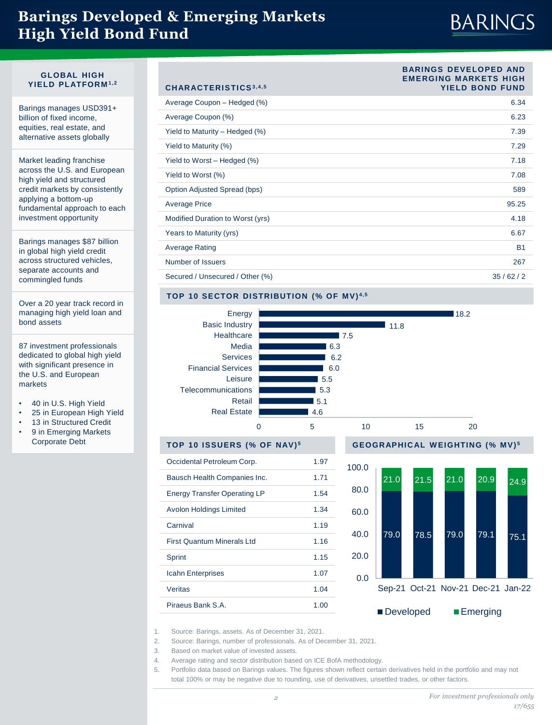### **Barings Developed & Emerging Markets High Yield Bond Fund**

# **BARINGS**

**BARINGS DEVELOPED AND EMERGING MARKETS HIGH** 

#### **GLOBAL HIGH YIELD PLATFORM 1,2**

Barings manages USD391+ billion of fixed income, equities, real estate, and alternative assets globally

Market leading franchise across the U.S. and European high yield and structured credit markets by consistently applying a bottom-up fundamental approach to each investment opportunity

Barings manages \$87 billion in global high yield credit across structured vehicles, separate accounts and commingled funds

Over a 20 year track record in managing high yield loan and bond assets

87 investment professionals dedicated to global high yield with significant presence in the U.S. and European markets

- 40 in U.S. High Yield
- 25 in European High Yield
- 13 in Structured Credit 9 in Emerging Markets Corporate Debt

| CHARACTERISTICS3,4,5             | EMERGING MARREIS FILGH<br><b>YIELD BOND FUND</b> |
|----------------------------------|--------------------------------------------------|
| Average Coupon - Hedged (%)      | 6.34                                             |
| Average Coupon (%)               | 6.23                                             |
| Yield to Maturity - Hedged (%)   | 7.39                                             |
| Yield to Maturity (%)            | 7.29                                             |
| Yield to Worst - Hedged (%)      | 7.18                                             |
| Yield to Worst (%)               | 7.08                                             |
| Option Adjusted Spread (bps)     | 589                                              |
| <b>Average Price</b>             | 95.25                                            |
| Modified Duration to Worst (yrs) | 4.18                                             |
| Years to Maturity (yrs)          | 6.67                                             |
| <b>Average Rating</b>            | <b>B1</b>                                        |
| Number of Issuers                | 267                                              |
| Secured / Unsecured / Other (%)  | 35/62/2                                          |

### TOP 10 SECTOR DISTRIBUTION (% OF MV)<sup>4,5</sup>



| Occidental Petroleum Corp.          | 1.97 | 100 |
|-------------------------------------|------|-----|
| Bausch Health Companies Inc.        | 1.71 |     |
| <b>Energy Transfer Operating LP</b> | 1.54 | 80  |
| <b>Avolon Holdings Limited</b>      | 1.34 | 60  |
| Carnival                            | 1.19 | 40  |
| <b>First Quantum Minerals Ltd</b>   | 1.16 |     |
| Sprint                              | 1.15 | 20  |
| <b>Icahn Enterprises</b>            | 1.07 | 0   |
| Veritas                             | 1.04 |     |
| Piraeus Bank S.A.                   | 1.00 |     |





1. Source: Barings, assets. As of December 31, 2021.

- 2. Source: Barings, number of professionals. As of December 31, 2021.
- 3. Based on market value of invested assets.
- 4. Average rating and sector distribution based on ICE BofA methodology.
- 5. Portfolio data based on Barings values. The figures shown reflect certain derivatives held in the portfolio and may not total 100% or may be negative due to rounding, use of derivatives, unsettled trades, or other factors.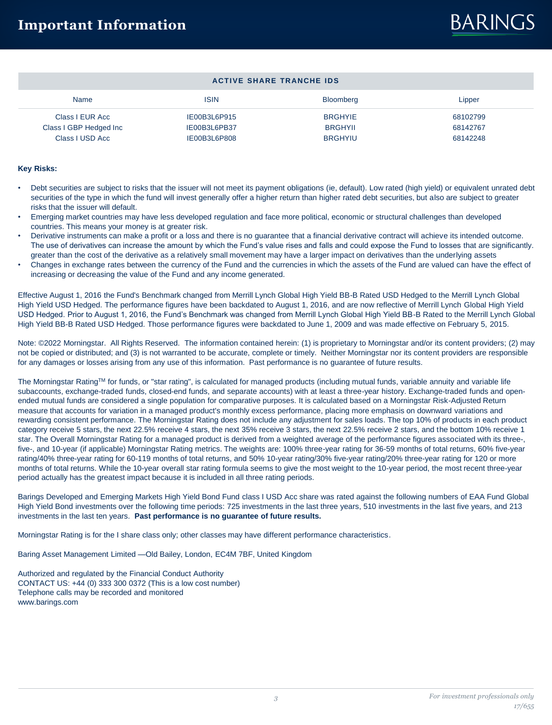## **BARINGS**

|  |  | <b>ACTIVE SHARE TRANCHE IDS</b> |  |
|--|--|---------------------------------|--|
|--|--|---------------------------------|--|

| Name                                      | <b>ISIN</b>                  | Bloomberg                        | Lipper               |
|-------------------------------------------|------------------------------|----------------------------------|----------------------|
| Class I EUR Acc                           | IE00B3L6P915                 | <b>BRGHYIE</b>                   | 68102799             |
| Class I GBP Hedged Inc<br>Class I USD Acc | IE00B3L6PB37<br>IE00B3L6P808 | <b>BRGHYII</b><br><b>BRGHYIU</b> | 68142767<br>68142248 |
|                                           |                              |                                  |                      |

#### **Key Risks:**

- Debt securities are subject to risks that the issuer will not meet its payment obligations (ie, default). Low rated (high yield) or equivalent unrated debt securities of the type in which the fund will invest generally offer a higher return than higher rated debt securities, but also are subject to greater risks that the issuer will default.
- Emerging market countries may have less developed regulation and face more political, economic or structural challenges than developed countries. This means your money is at greater risk.
- Derivative instruments can make a profit or a loss and there is no guarantee that a financial derivative contract will achieve its intended outcome. The use of derivatives can increase the amount by which the Fund's value rises and falls and could expose the Fund to losses that are significantly. greater than the cost of the derivative as a relatively small movement may have a larger impact on derivatives than the underlying assets
- Changes in exchange rates between the currency of the Fund and the currencies in which the assets of the Fund are valued can have the effect of increasing or decreasing the value of the Fund and any income generated.

Effective August 1, 2016 the Fund's Benchmark changed from Merrill Lynch Global High Yield BB-B Rated USD Hedged to the Merrill Lynch Global High Yield USD Hedged. The performance figures have been backdated to August 1, 2016, and are now reflective of Merrill Lynch Global High Yield USD Hedged. Prior to August 1, 2016, the Fund's Benchmark was changed from Merrill Lynch Global High Yield BB-B Rated to the Merrill Lynch Global High Yield BB-B Rated USD Hedged. Those performance figures were backdated to June 1, 2009 and was made effective on February 5, 2015.

Note: ©2022 Morningstar. All Rights Reserved. The information contained herein: (1) is proprietary to Morningstar and/or its content providers; (2) may not be copied or distributed; and (3) is not warranted to be accurate, complete or timely. Neither Morningstar nor its content providers are responsible for any damages or losses arising from any use of this information. Past performance is no guarantee of future results.

The Morningstar RatingTM for funds, or "star rating", is calculated for managed products (including mutual funds, variable annuity and variable life subaccounts, exchange-traded funds, closed-end funds, and separate accounts) with at least a three-year history. Exchange-traded funds and openended mutual funds are considered a single population for comparative purposes. It is calculated based on a Morningstar Risk-Adjusted Return measure that accounts for variation in a managed product's monthly excess performance, placing more emphasis on downward variations and rewarding consistent performance. The Morningstar Rating does not include any adjustment for sales loads. The top 10% of products in each product category receive 5 stars, the next 22.5% receive 4 stars, the next 35% receive 3 stars, the next 22.5% receive 2 stars, and the bottom 10% receive 1 star. The Overall Morningstar Rating for a managed product is derived from a weighted average of the performance figures associated with its three-, five-, and 10-year (if applicable) Morningstar Rating metrics. The weights are: 100% three-year rating for 36-59 months of total returns, 60% five-year rating/40% three-year rating for 60-119 months of total returns, and 50% 10-year rating/30% five-year rating/20% three-year rating for 120 or more months of total returns. While the 10-year overall star rating formula seems to give the most weight to the 10-year period, the most recent three-year period actually has the greatest impact because it is included in all three rating periods.

Barings Developed and Emerging Markets High Yield Bond Fund class I USD Acc share was rated against the following numbers of EAA Fund Global High Yield Bond investments over the following time periods: 725 investments in the last three years, 510 investments in the last five years, and 213 investments in the last ten years. **Past performance is no guarantee of future results.** 

Morningstar Rating is for the I share class only; other classes may have different performance characteristics.

Baring Asset Management Limited —Old Bailey, London, EC4M 7BF, United Kingdom

Authorized and regulated by the Financial Conduct Authority CONTACT US: +44 (0) 333 300 0372 (This is a low cost number) Telephone calls may be recorded and monitored www.barings.com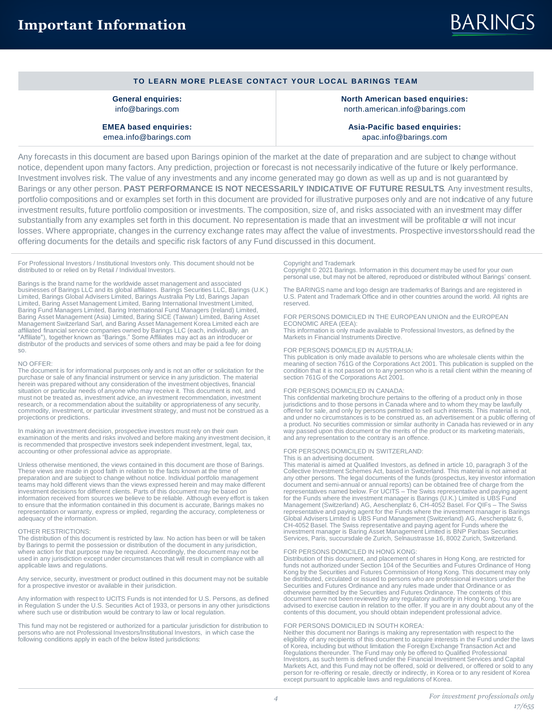#### **TO LEARN MORE PLEASE CONTACT YOUR LOCAL BARINGS TEAM**

**General enquiries:** info@barings.com

**EMEA based enquiries:** emea.info@barings.com

**North American based enquiries:** north.american.info@barings.com

**Asia-Pacific based enquiries:** apac.info@barings.com

Any forecasts in this document are based upon Barings opinion of the market at the date of preparation and are subject to change without notice, dependent upon many factors. Any prediction, projection or forecast is not necessarily indicative of the future or likely performance. Investment involves risk. The value of any investments and any income generated may go down as well as up and is not guaranteed by Barings or any other person. **PAST PERFORMANCE IS NOT NECESSARILY INDICATIVE OF FUTURE RESULTS**. Any investment results, portfolio compositions and or examples set forth in this document are provided for illustrative purposes only and are not indcative of any future investment results, future portfolio composition or investments. The composition, size of, and risks associated with an investment may differ substantially from any examples set forth in this document. No representation is made that an investment will be profitable or will not incur losses. Where appropriate, changes in the currency exchange rates may affect the value of investments. Prospective investors should read the offering documents for the details and specific risk factors of any Fund discussed in this document.

For Professional Investors / Institutional Investors only. This document should not be distributed to or relied on by Retail / Individual Investors.

Barings is the brand name for the worldwide asset management and associated businesses of Barings LLC and its global affiliates. Barings Securities LLC, Barings (U.K.) Limited, Barings Global Advisers Limited, Barings Australia Pty Ltd, Barings Japan Limited, Baring Asset Management Limited, Baring International Investment Limited, Baring Fund Managers Limited, Baring International Fund Management (Asia) Limited, Baring SICE (Taiwan) Limited, Baring Asset Management Sw so.

#### NO OFFER:

The document is for informational purposes only and is not an offer or solicitation for the purchase or sale of any financial instrument or service in any jurisdiction. The material herein was prepared without any consideration of the investment objectives, financial situation or particular needs of anyone who may receive it. This document is not, and must not be treated as, investment advice, an investment recommendation, investment research, or a recommendation about the suitability or appropriateness of any security, commodity, investment, or particular investment strategy, and must not be construed as a projections or predictions.

In making an investment decision, prospective investors must rely on their own examination of the merits and risks involved and before making any investment decision, it is recommended that prospective investors seek independent investment, legal, tax, accounting or other professional advice as appropriate.

Unless otherwise mentioned, the views contained in this document are those of Barings. These views are made in good faith in relation to the facts known at the time of preparation and are subject to change without notice. Individual portfolio management teams may hold different views than the views expressed herein and may make different<br>investment decisions for different clients. Parts of this document may be based on<br>information received from sources we believe to be re to ensure that the information contained in this document is accurate, Barings makes no representation or warranty, express or implied, regarding the accuracy, completeness or adequacy of the information.

#### OTHER RESTRICTIONS:

The distribution of this document is restricted by law. No action has been or will be taken by Barings to permit the possession or distribution of the document in any jurisdiction, where action for that purpose may be required. Accordingly, the document may not be used in any jurisdiction except under circumstances that will result in compliance with all applicable laws and regulations.

Any service, security, investment or product outlined in this document may not be suitable for a prospective investor or available in their jurisdiction.

Any information with respect to UCITS Funds is not intended for U.S. Persons, as defined in Regulation S under the U.S. Securities Act of 1933, or persons in any other jurisdictions where such use or distribution would be contrary to law or local regulation.

This fund may not be registered or authorized for a particular jurisdiction for distribution to persons who are not Professional Investors/Institutional Investors, in which case the following conditions apply in each of the below listed jurisdictions:

#### Copyright and Trademark

Copyright © 2021 Barings. Information in this document may be used for your own personal use, but may not be altered, reproduced or distributed without Barings' consent.

The BARINGS name and logo design are trademarks of Barings and are registered in U.S. Patent and Trademark Office and in other countries around the world. All rights are reserved.

FOR PERSONS DOMICILED IN THE EUROPEAN UNION and the EUROPEAN ECONOMIC AREA (EEA): This information is only made available to Professional Investors, as defined by the

Markets in Financial Instruments Directive.

#### FOR PERSONS DOMICILED IN AUSTRALIA:

This publication is only made available to persons who are wholesale clients within the meaning of section 761G of the Corporations Act 2001. This publication is supplied on the condition that it is not passed on to any person who is a retail client within the meaning of section 761G of the Corporations Act 2001.

#### FOR PERSONS DOMICILED IN CANADA:

This confidential marketing brochure pertains to the offering of a product only in those<br>jurisdictions and to those persons in Canada where and to whom they may be lawfully<br>offered for sale, and only by persons permitted t and under no circumstances is to be construed as, an advertisement or a public offering of a product. No securities commission or similar authority in Canada has reviewed or in any way passed upon this document or the merits of the product or its marketing materials, and any representation to the contrary is an offence.

#### FOR PERSONS DOMICILED IN SWITZERLAND:

#### This is an advertising document.

This material is aimed at Qualified Investors, as defined in article 10, paragraph 3 of the Collective Investment Schemes Act, based in Switzerland. This material is not aimed at any other persons. The legal documents of the funds (prospectus, key investor information document and semi-annual or annual reports) can be obtained free of charge from the<br>representatives named below. For UCITS – The Swiss representative and paying agent<br>for the Funds where the investment manager is Barings ( representative and paying agent for the Funds where the investment manager is Barings<br>Global Advisers Limited is UBS Fund Management (Switzerland) AG, Aeschenplatz 6,<br>CH-4052 Basel. The Swiss representative and paying agen investment manager is Baring Asset Management Limited is BNP Paribas Securities Services, Paris, succursdale de Zurich, Selnaustrasse 16, 8002 Zurich, Switzerland.

FOR PERSONS DOMICILED IN HONG KONG: Distribution of this document, and placement of shares in Hong Kong, are restricted for funds not authorized under Section 104 of the Securities and Futures Ordinance of Hong Kong by the Securities and Futures Commission of Hong Kong. This document may only be distributed, circulated or issued to persons who are professional investors under the Securities and Futures Ordinance and any rules made under that Ordinance or as otherwise permitted by the Securities and Futures Ordinance. The contents of this document have not been reviewed by any regulatory authority in Hong Kong. You are advised to exercise caution in relation to the offer. If you are in any doubt about any of the contents of this document, you should obtain independent professional advice.

#### FOR PERSONS DOMICILED IN SOUTH KOREA:

Neither this document nor Barings is making any representation with respect to the eligibility of any recipients of this document to acquire interests in the Fund under the laws of Korea, including but without limitation the Foreign Exchange Transaction Act and Regulations thereunder. The Fund may only be offered to Qualified Professional Investors, as such term is defined under the Financial Investment Services and Capital Markets Act, and this Fund may not be offered, sold or delivered, or offered or sold to any person for re-offering or resale, directly or indirectly, in Korea or to any resident of Korea except pursuant to applicable laws and regulations of Korea.